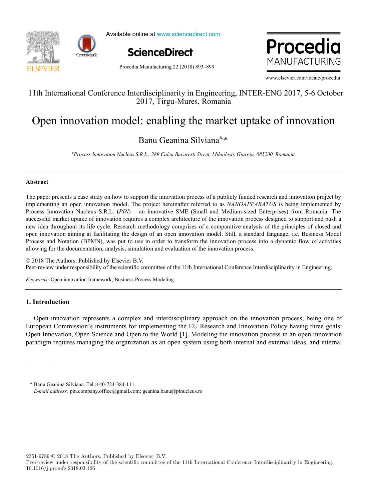



Available online at www.sciencedirect.com





Procedia Manufacturing 22 (2018) 893–899

www.elsevier.com/locate/procedia

## 11d I<sub>th</sub> International Conference International Conference International Engineering, International Conference International Conference International Conference International Conference International Conference Internati 11th International Conference Interdisciplinarity in Engineering, INTER-ENG 2017, 5-6 October 2017, Tirgu-Mures, Romania

### Open innovation model, enabring the market uptake of innovation Open innovation model: enabling the market uptake of innovation Open innovation model: enabling the market uptake of innovation

## 2017, Vigo (Pontevedra), Spain Banu Geanina Silviana*<sup>P</sup> P0F*\* Banu Geanina Silviana<sup>a,</sup>\*

Costing models for capacity optimization in Industry 4.0: Trade-off *P a <sup>P</sup> rocess Innovation Nucleus S.R.L., 289 Calea Bucuresti Street, Mihailesti, Giurgiu, 085200, Romania* between used capacity and operational efficiency

## **Abstract**

The paper presents a case study on how to support the innovation process of a publicly funded research and innovation project by The paper presents a case study on now to support the innovation process of a publicly funded research and innovation project by implementing an open innovation model. The project hereinafter referred to as *NANOAPPARATUS* open innovation aiming at facilitating the design of an open innovation model. Still, a standard language, i.e. Business Model allowing for the documentation, analysis, simulation and evaluation of the innovation process. Process Innovation Nucleus S.R.L. (PIN) – an innovative SME (Small and Medium-sized Enterprises) from Romania. The successful market uptake of innovation requires a complex architecture of the innovation process designed to support and push a new idea throughout its life cycle. Research methodology comprises of a comparative analysis of the principles of closed and Process and Notation (BPMN), was put to use in order to transform the innovation process into a dynamic flow of activities

© 2018 The Authors. Published by Elsevier B.V.  $\epsilon$  2010 the Autums. Thus between the traditional and  $\epsilon$  for  $\epsilon$  and  $\epsilon$  for organization of the scientific committee of the 11th International Conference Interdicciplinerity in Engineering.  $\degree$  2016 The Admoss. Tubismed by Eisevier B.V.<br>Peer-review under responsibility of the scientific committee of the 11th International Conference Interdisciplinarity in Engineering. Exercise to the control of the control of the control of the control of the control of the control of the control of the control of the control of the control of the control of the control of the control of the control of

contributions from both the practical and theoretical perspectives. This paper presents and discusses a mathematical

*Keywords:* Open innovation framework; Business Process Modeling.

#### model for capacity management based on different costing models (ABC and TDABC). A generic model has been developed and it was used to analyze identified to analyze in the maximization of organization of organization **1. Introduction**

value. The trade-off capacity maximization vs operational efficiency is highlighted and it is shown that capacity Open innovation represents a complex and interdisciplinary approach on the innovation process, being one of European Commission's instruments for implementing the EU Research and Innovation Policy having three goals: Open Innovation, Open Science and Open to the World [1]. Modeling the innovation process in an open innovation paradigm requires managing the organization as an open system using both internal and external ideas, and internal paradigm requires managing the organization as an open system using both internal and external ideas, and internal

2351-9789 © 2018 The Authors. Published by Elsevier B.V.

**<sup>1.</sup> Introduction**  \* Banu Geanina Silviana. Tel.:+40-724-384-111.  $T_{\rm eff}$  is a fundamental information for companies and the extreme importance importance importance importance importance importance importance importance importance importance importance importance importance importance *E-mail address:* pin.company.office@gmail.com; geanina.banu@pinucleus.ro

Peer-review under responsibility of the scientific committee of the 11th International Conference Interdisciplinarity in Engineering. 10.1016/j.promfg.2018.03.126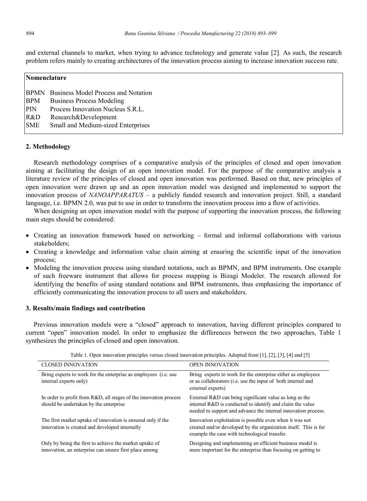and external channels to market, when trying to advance technology and generate value [2]. As such, the research problem refers mainly to creating architectures of the innovation process aiming to increase innovation success rate.

| Nomenclature |                                          |  |  |
|--------------|------------------------------------------|--|--|
|              | BPMN Business Model Process and Notation |  |  |
| <b>BPM</b>   | <b>Business Process Modeling</b>         |  |  |
| PIN          | Process Innovation Nucleus S.R.L.        |  |  |
| R&D          | Research&Development                     |  |  |
| <b>SME</b>   | Small and Medium-sized Enterprises       |  |  |

## **2. Methodology**

Research methodology comprises of a comparative analysis of the principles of closed and open innovation aiming at facilitating the design of an open innovation model. For the purpose of the comparative analysis a literature review of the principles of closed and open innovation was performed. Based on that, new principles of open innovation were drawn up and an open innovation model was designed and implemented to support the innovation process of *NANOAPPARATUS* – a publicly funded research and innovation project. Still, a standard language, i.e. BPMN 2.0, was put to use in order to transform the innovation process into a flow of activities.

When designing an open innovation model with the purpose of supporting the innovation process, the following main steps should be considered:

- Creating an innovation framework based on networking formal and informal collaborations with various stakeholders;
- Creating a knowledge and information value chain aiming at ensuring the scientific input of the innovation process;
- Modeling the innovation process using standard notations, such as BPMN, and BPM instruments. One example of such freeware instrument that allows for process mapping is Bizagi Modeler. The research allowed for identifying the benefits of using standard notations and BPM instruments, thus emphasizing the importance of efficiently communicating the innovation process to all users and stakeholders.

## **3. Results/main findings and contribution**

Previous innovation models were a "closed" approach to innovation, having different principles compared to current "open" innovation model. In order to emphasize the differences between the two approaches, Table 1 synthesizes the principles of closed and open innovation.

| <b>CLOSED INNOVATION</b>                                                                                          | <b>OPEN INNOVATION</b>                                                                                                                                                                 |
|-------------------------------------------------------------------------------------------------------------------|----------------------------------------------------------------------------------------------------------------------------------------------------------------------------------------|
| Bring experts to work for the enterprise as employees (i.e. use<br>internal experts only)                         | Bring experts to work for the enterprise either as employees<br>or as collaborators (i.e. use the input of both internal and<br>external experts)                                      |
| In order to profit from R&D, all stages of the innovation process<br>should be undertaken by the enterprise       | External R&D can bring significant value as long as the<br>internal R&D is conducted to identify and claim the value<br>needed to support and advance the internal innovation process. |
| The first market uptake of innovation is ensured only if the<br>innovation is created and developed internally    | Innovation exploitation is possible even when it was not<br>created and/or developed by the organization itself. This is for<br>example the case with technological transfer.          |
| Only by being the first to achieve the market uptake of<br>innovation, an enterprise can ensure first place among | Designing and implementing an efficient business model is<br>more important for the enterprise than focusing on getting to                                                             |

| Table 1. Open innovation principles versus closed innovation principles. Adopted from [1], [2], [3], [4] and [5] |  |  |  |
|------------------------------------------------------------------------------------------------------------------|--|--|--|
|------------------------------------------------------------------------------------------------------------------|--|--|--|